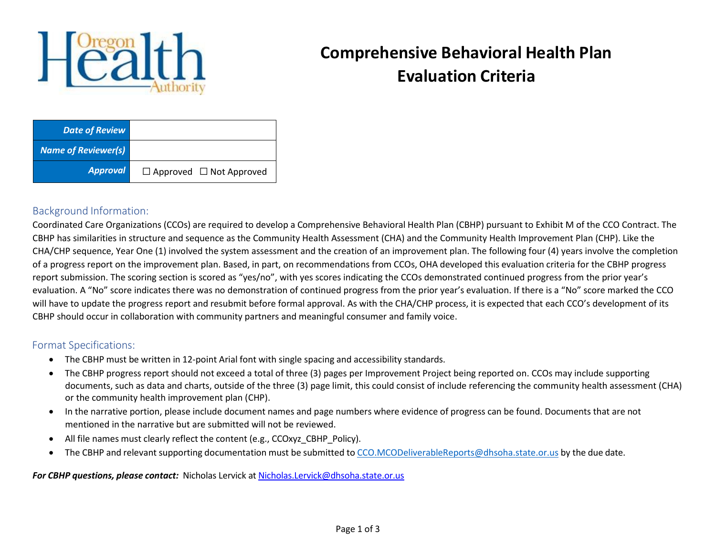

## **Comprehensive Behavioral Health Plan Evaluation Criteria**

| <b>Date of Review</b>      |                                     |
|----------------------------|-------------------------------------|
| <b>Name of Reviewer(s)</b> |                                     |
| <b>Approval</b>            | $\Box$ Approved $\Box$ Not Approved |

## Background Information:

Coordinated Care Organizations (CCOs) are required to develop a Comprehensive Behavioral Health Plan (CBHP) pursuant to Exhibit M of the CCO Contract. The CBHP has similarities in structure and sequence as the Community Health Assessment (CHA) and the Community Health Improvement Plan (CHP). Like the CHA/CHP sequence, Year One (1) involved the system assessment and the creation of an improvement plan. The following four (4) years involve the completion of a progress report on the improvement plan. Based, in part, on recommendations from CCOs, OHA developed this evaluation criteria for the CBHP progress report submission. The scoring section is scored as "yes/no", with yes scores indicating the CCOs demonstrated continued progress from the prior year's evaluation. A "No" score indicates there was no demonstration of continued progress from the prior year's evaluation. If there is a "No" score marked the CCO will have to update the progress report and resubmit before formal approval. As with the CHA/CHP process, it is expected that each CCO's development of its CBHP should occur in collaboration with community partners and meaningful consumer and family voice.

## Format Specifications:

- The CBHP must be written in 12-point Arial font with single spacing and accessibility standards.
- The CBHP progress report should not exceed a total of three (3) pages per Improvement Project being reported on. CCOs may include supporting documents, such as data and charts, outside of the three (3) page limit, this could consist of include referencing the community health assessment (CHA) or the community health improvement plan (CHP).
- In the narrative portion, please include document names and page numbers where evidence of progress can be found. Documents that are not mentioned in the narrative but are submitted will not be reviewed.
- All file names must clearly reflect the content (e.g., CCOxyz\_CBHP\_Policy).
- The CBHP and relevant supporting documentation must be submitted to [CCO.MCODeliverableReports@dhsoha.state.or.us](mailto:CCO.MCODeliverableReports@dhsoha.state.or.us) by the due date.

*For CBHP questions, please contact:* Nicholas Lervick a[t Nicholas.Lervick@dhsoha.state.or.us](mailto:Nicholas.Lervick@dhsoha.state.or.us)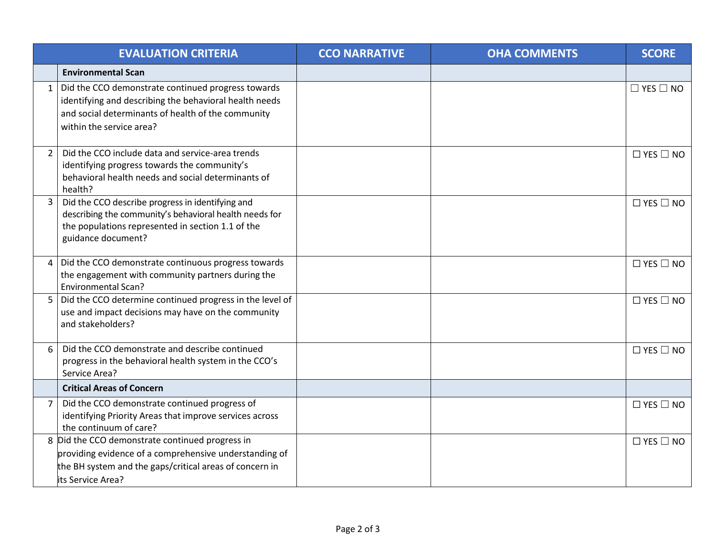|                | <b>EVALUATION CRITERIA</b>                                                                                                                                                                         | <b>CCO NARRATIVE</b> | <b>OHA COMMENTS</b> | <b>SCORE</b>         |
|----------------|----------------------------------------------------------------------------------------------------------------------------------------------------------------------------------------------------|----------------------|---------------------|----------------------|
|                | <b>Environmental Scan</b>                                                                                                                                                                          |                      |                     |                      |
|                | 1   Did the CCO demonstrate continued progress towards<br>identifying and describing the behavioral health needs<br>and social determinants of health of the community<br>within the service area? |                      |                     | $\Box$ YES $\Box$ NO |
| $\overline{2}$ | Did the CCO include data and service-area trends<br>identifying progress towards the community's<br>behavioral health needs and social determinants of<br>health?                                  |                      |                     | $\Box$ YES $\Box$ NO |
| $\mathbf{3}$   | Did the CCO describe progress in identifying and<br>describing the community's behavioral health needs for<br>the populations represented in section 1.1 of the<br>guidance document?              |                      |                     | $\Box$ YES $\Box$ NO |
|                | 4 Did the CCO demonstrate continuous progress towards<br>the engagement with community partners during the<br><b>Environmental Scan?</b>                                                           |                      |                     | $\Box$ YES $\Box$ NO |
| 5              | Did the CCO determine continued progress in the level of<br>use and impact decisions may have on the community<br>and stakeholders?                                                                |                      |                     | $\Box$ YES $\Box$ NO |
| 6              | Did the CCO demonstrate and describe continued<br>progress in the behavioral health system in the CCO's<br>Service Area?                                                                           |                      |                     | $\Box$ YES $\Box$ NO |
|                | <b>Critical Areas of Concern</b>                                                                                                                                                                   |                      |                     |                      |
| $7^{\circ}$    | Did the CCO demonstrate continued progress of<br>identifying Priority Areas that improve services across<br>the continuum of care?                                                                 |                      |                     | $\Box$ YES $\Box$ NO |
|                | 8 Did the CCO demonstrate continued progress in<br>providing evidence of a comprehensive understanding of<br>the BH system and the gaps/critical areas of concern in<br>lits Service Area?         |                      |                     | $\Box$ YES $\Box$ NO |